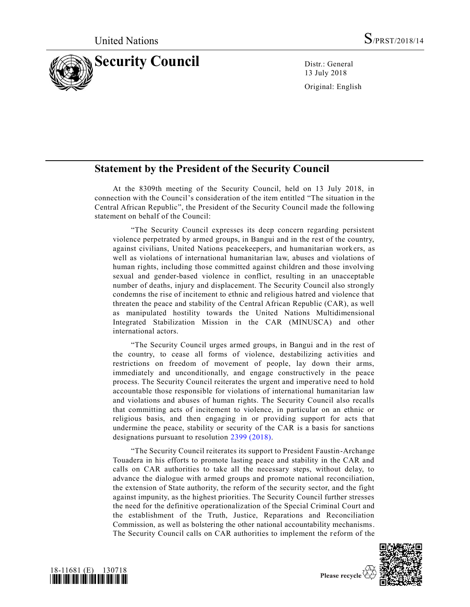

13 July 2018 Original: English

## **Statement by the President of the Security Council**

At the 8309th meeting of the Security Council, held on 13 July 2018, in connection with the Council's consideration of the item entitled "The situation in the Central African Republic", the President of the Security Council made the following statement on behalf of the Council:

"The Security Council expresses its deep concern regarding persistent violence perpetrated by armed groups, in Bangui and in the rest of the country, against civilians, United Nations peacekeepers, and humanitarian workers, as well as violations of international humanitarian law, abuses and violations of human rights, including those committed against children and those involving sexual and gender-based violence in conflict, resulting in an unacceptable number of deaths, injury and displacement. The Security Council also strongly condemns the rise of incitement to ethnic and religious hatred and violence that threaten the peace and stability of the Central African Republic (CAR), as well as manipulated hostility towards the United Nations Multidimensional Integrated Stabilization Mission in the CAR (MINUSCA) and other international actors.

"The Security Council urges armed groups, in Bangui and in the rest of the country, to cease all forms of violence, destabilizing activities and restrictions on freedom of movement of people, lay down their arms, immediately and unconditionally, and engage constructively in the peace process. The Security Council reiterates the urgent and imperative need to hold accountable those responsible for violations of international humanitarian law and violations and abuses of human rights. The Security Council also recalls that committing acts of incitement to violence, in particular on an ethnic or religious basis, and then engaging in or providing support for acts that undermine the peace, stability or security of the CAR is a basis for sanctions designations pursuant to resolution [2399 \(2018\).](https://undocs.org/S/RES/2399(2018))

"The Security Council reiterates its support to President Faustin-Archange Touadera in his efforts to promote lasting peace and stability in the CAR and calls on CAR authorities to take all the necessary steps, without delay, to advance the dialogue with armed groups and promote national reconciliation, the extension of State authority, the reform of the security sector, and the fight against impunity, as the highest priorities. The Security Council further stresses the need for the definitive operationalization of the Special Criminal Court and the establishment of the Truth, Justice, Reparations and Reconciliation Commission, as well as bolstering the other national accountability mechanisms. The Security Council calls on CAR authorities to implement the r eform of the



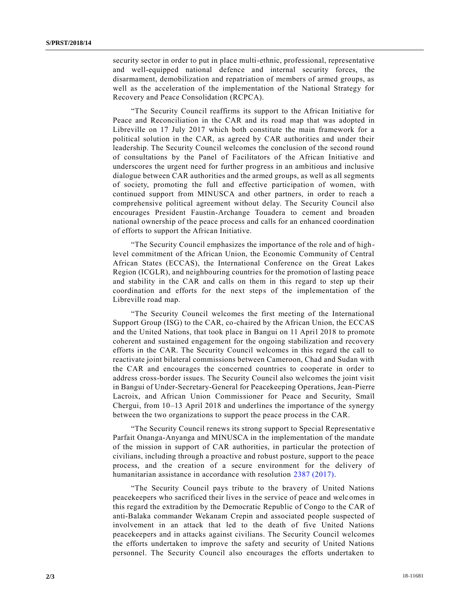security sector in order to put in place multi-ethnic, professional, representative and well-equipped national defence and internal security forces, the disarmament, demobilization and repatriation of members of armed groups, as well as the acceleration of the implementation of the National Strategy for Recovery and Peace Consolidation (RCPCA).

"The Security Council reaffirms its support to the African Initiative for Peace and Reconciliation in the CAR and its road map that was adopted in Libreville on 17 July 2017 which both constitute the main framework for a political solution in the CAR, as agreed by CAR authorities and under their leadership. The Security Council welcomes the conclusion of the second round of consultations by the Panel of Facilitators of the African Initiative and underscores the urgent need for further progress in an ambitious and inclusive dialogue between CAR authorities and the armed groups, as well as all segments of society, promoting the full and effective participation of women, with continued support from MINUSCA and other partners, in order to reach a comprehensive political agreement without delay. The Security Council also encourages President Faustin-Archange Touadera to cement and broaden national ownership of the peace process and calls for an enhanced coordination of efforts to support the African Initiative.

"The Security Council emphasizes the importance of the role and of highlevel commitment of the African Union, the Economic Community of Central African States (ECCAS), the International Conference on the Great Lakes Region (ICGLR), and neighbouring countries for the promotion of lasting peace and stability in the CAR and calls on them in this regard to step up their coordination and efforts for the next steps of the implementation of the Libreville road map.

"The Security Council welcomes the first meeting of the International Support Group (ISG) to the CAR, co-chaired by the African Union, the ECCAS and the United Nations, that took place in Bangui on 11 April 2018 to promote coherent and sustained engagement for the ongoing stabilization and recovery efforts in the CAR. The Security Council welcomes in this regard the call to reactivate joint bilateral commissions between Cameroon, Chad and Sudan with the CAR and encourages the concerned countries to cooperate in order to address cross-border issues. The Security Council also welcomes the joint visit in Bangui of Under-Secretary-General for Peacekeeping Operations, Jean-Pierre Lacroix, and African Union Commissioner for Peace and Security, Smaïl Chergui, from 10–13 April 2018 and underlines the importance of the synergy between the two organizations to support the peace process in the CAR.

"The Security Council renews its strong support to Special Representative Parfait Onanga-Anyanga and MINUSCA in the implementation of the mandate of the mission in support of CAR authorities, in particular the protection of civilians, including through a proactive and robust posture, support to the peace process, and the creation of a secure environment for the delivery of humanitarian assistance in accordance with resolution [2387 \(2017\).](https://undocs.org/S/RES/2387(2017))

"The Security Council pays tribute to the bravery of United Nations peacekeepers who sacrificed their lives in the service of peace and welcomes in this regard the extradition by the Democratic Republic of Congo to the CAR of anti-Balaka commander Wekanam Crepin and associated people suspected of involvement in an attack that led to the death of five United Nations peacekeepers and in attacks against civilians. The Security Council welcomes the efforts undertaken to improve the safety and security of United Nations personnel. The Security Council also encourages the efforts undertaken to